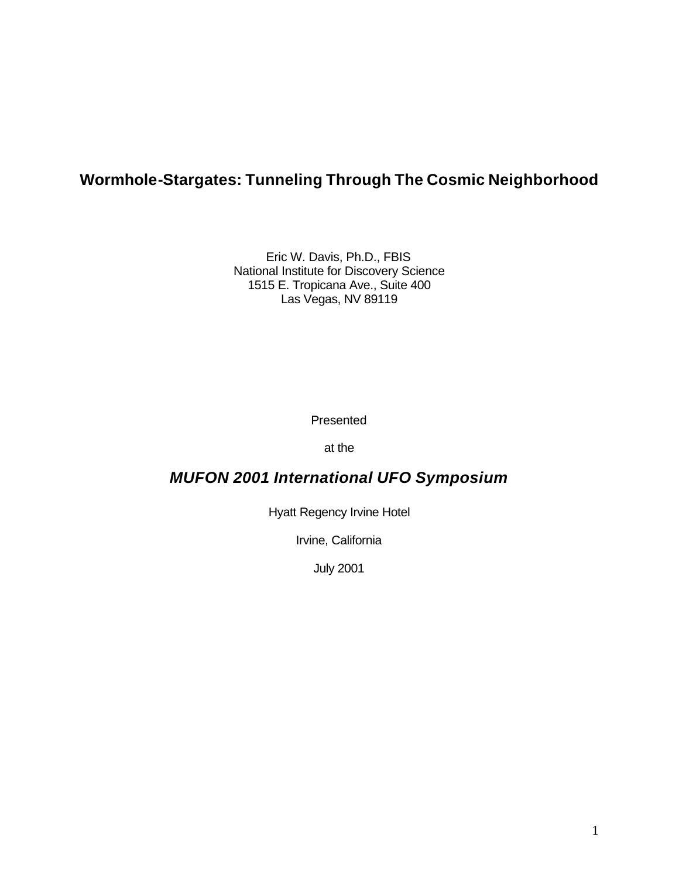# **Wormhole-Stargates: Tunneling Through The Cosmic Neighborhood**

Eric W. Davis, Ph.D., FBIS National Institute for Discovery Science 1515 E. Tropicana Ave., Suite 400 Las Vegas, NV 89119

Presented

at the

# *MUFON 2001 International UFO Symposium*

Hyatt Regency Irvine Hotel

Irvine, California

July 2001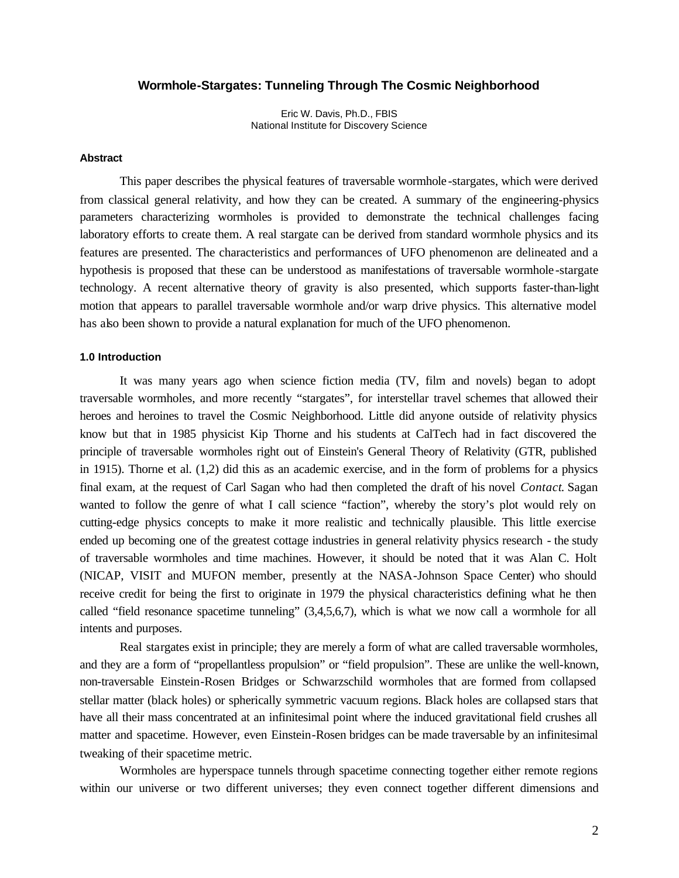# **Wormhole-Stargates: Tunneling Through The Cosmic Neighborhood**

Eric W. Davis, Ph.D., FBIS National Institute for Discovery Science

# **Abstract**

This paper describes the physical features of traversable wormhole -stargates, which were derived from classical general relativity, and how they can be created. A summary of the engineering-physics parameters characterizing wormholes is provided to demonstrate the technical challenges facing laboratory efforts to create them. A real stargate can be derived from standard wormhole physics and its features are presented. The characteristics and performances of UFO phenomenon are delineated and a hypothesis is proposed that these can be understood as manifestations of traversable wormhole -stargate technology. A recent alternative theory of gravity is also presented, which supports faster-than-light motion that appears to parallel traversable wormhole and/or warp drive physics. This alternative model has also been shown to provide a natural explanation for much of the UFO phenomenon.

# **1.0 Introduction**

It was many years ago when science fiction media (TV, film and novels) began to adopt traversable wormholes, and more recently "stargates", for interstellar travel schemes that allowed their heroes and heroines to travel the Cosmic Neighborhood. Little did anyone outside of relativity physics know but that in 1985 physicist Kip Thorne and his students at CalTech had in fact discovered the principle of traversable wormholes right out of Einstein's General Theory of Relativity (GTR, published in 1915). Thorne et al. (1,2) did this as an academic exercise, and in the form of problems for a physics final exam, at the request of Carl Sagan who had then completed the draft of his novel *Contact*. Sagan wanted to follow the genre of what I call science "faction", whereby the story's plot would rely on cutting-edge physics concepts to make it more realistic and technically plausible. This little exercise ended up becoming one of the greatest cottage industries in general relativity physics research - the study of traversable wormholes and time machines. However, it should be noted that it was Alan C. Holt (NICAP, VISIT and MUFON member, presently at the NASA-Johnson Space Center) who should receive credit for being the first to originate in 1979 the physical characteristics defining what he then called "field resonance spacetime tunneling" (3,4,5,6,7), which is what we now call a wormhole for all intents and purposes.

Real stargates exist in principle; they are merely a form of what are called traversable wormholes, and they are a form of "propellantless propulsion" or "field propulsion". These are unlike the well-known, non-traversable Einstein-Rosen Bridges or Schwarzschild wormholes that are formed from collapsed stellar matter (black holes) or spherically symmetric vacuum regions. Black holes are collapsed stars that have all their mass concentrated at an infinitesimal point where the induced gravitational field crushes all matter and spacetime. However, even Einstein-Rosen bridges can be made traversable by an infinitesimal tweaking of their spacetime metric.

Wormholes are hyperspace tunnels through spacetime connecting together either remote regions within our universe or two different universes; they even connect together different dimensions and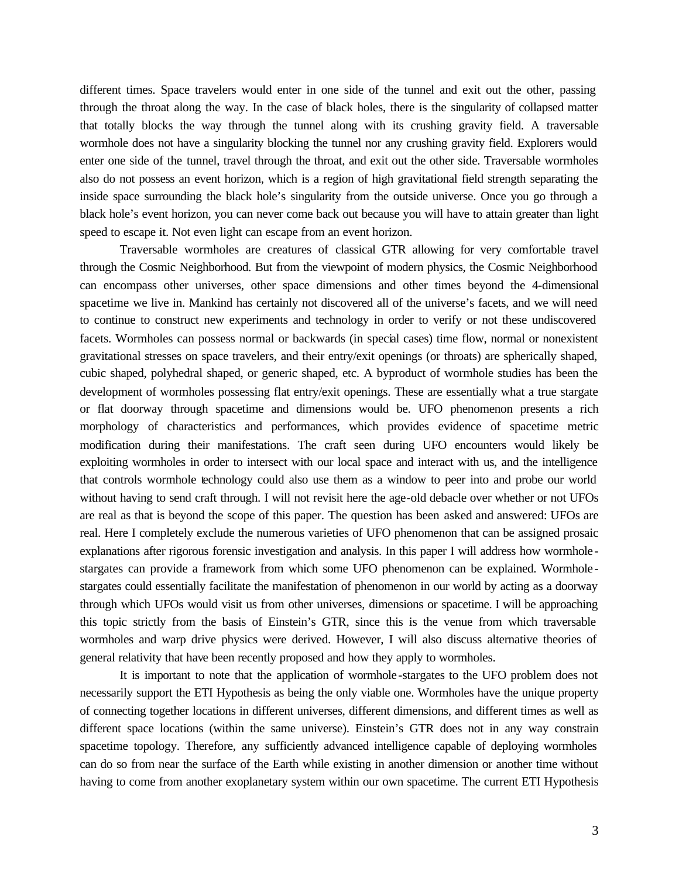different times. Space travelers would enter in one side of the tunnel and exit out the other, passing through the throat along the way. In the case of black holes, there is the singularity of collapsed matter that totally blocks the way through the tunnel along with its crushing gravity field. A traversable wormhole does not have a singularity blocking the tunnel nor any crushing gravity field. Explorers would enter one side of the tunnel, travel through the throat, and exit out the other side. Traversable wormholes also do not possess an event horizon, which is a region of high gravitational field strength separating the inside space surrounding the black hole's singularity from the outside universe. Once you go through a black hole's event horizon, you can never come back out because you will have to attain greater than light speed to escape it. Not even light can escape from an event horizon.

Traversable wormholes are creatures of classical GTR allowing for very comfortable travel through the Cosmic Neighborhood. But from the viewpoint of modern physics, the Cosmic Neighborhood can encompass other universes, other space dimensions and other times beyond the 4-dimensional spacetime we live in. Mankind has certainly not discovered all of the universe's facets, and we will need to continue to construct new experiments and technology in order to verify or not these undiscovered facets. Wormholes can possess normal or backwards (in special cases) time flow, normal or nonexistent gravitational stresses on space travelers, and their entry/exit openings (or throats) are spherically shaped, cubic shaped, polyhedral shaped, or generic shaped, etc. A byproduct of wormhole studies has been the development of wormholes possessing flat entry/exit openings. These are essentially what a true stargate or flat doorway through spacetime and dimensions would be. UFO phenomenon presents a rich morphology of characteristics and performances, which provides evidence of spacetime metric modification during their manifestations. The craft seen during UFO encounters would likely be exploiting wormholes in order to intersect with our local space and interact with us, and the intelligence that controls wormhole technology could also use them as a window to peer into and probe our world without having to send craft through. I will not revisit here the age-old debacle over whether or not UFOs are real as that is beyond the scope of this paper. The question has been asked and answered: UFOs are real. Here I completely exclude the numerous varieties of UFO phenomenon that can be assigned prosaic explanations after rigorous forensic investigation and analysis. In this paper I will address how wormhole stargates can provide a framework from which some UFO phenomenon can be explained. Wormhole stargates could essentially facilitate the manifestation of phenomenon in our world by acting as a doorway through which UFOs would visit us from other universes, dimensions or spacetime. I will be approaching this topic strictly from the basis of Einstein's GTR, since this is the venue from which traversable wormholes and warp drive physics were derived. However, I will also discuss alternative theories of general relativity that have been recently proposed and how they apply to wormholes.

It is important to note that the application of wormhole-stargates to the UFO problem does not necessarily support the ETI Hypothesis as being the only viable one. Wormholes have the unique property of connecting together locations in different universes, different dimensions, and different times as well as different space locations (within the same universe). Einstein's GTR does not in any way constrain spacetime topology. Therefore, any sufficiently advanced intelligence capable of deploying wormholes can do so from near the surface of the Earth while existing in another dimension or another time without having to come from another exoplanetary system within our own spacetime. The current ETI Hypothesis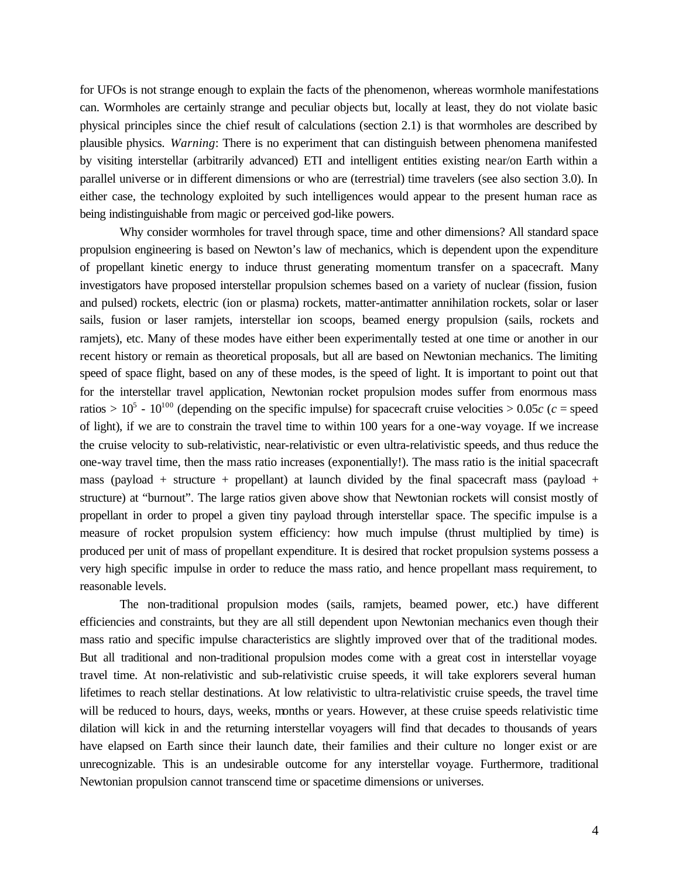for UFOs is not strange enough to explain the facts of the phenomenon, whereas wormhole manifestations can. Wormholes are certainly strange and peculiar objects but, locally at least, they do not violate basic physical principles since the chief result of calculations (section 2.1) is that wormholes are described by plausible physics. *Warning*: There is no experiment that can distinguish between phenomena manifested by visiting interstellar (arbitrarily advanced) ETI and intelligent entities existing near/on Earth within a parallel universe or in different dimensions or who are (terrestrial) time travelers (see also section 3.0). In either case, the technology exploited by such intelligences would appear to the present human race as being indistinguishable from magic or perceived god-like powers.

Why consider wormholes for travel through space, time and other dimensions? All standard space propulsion engineering is based on Newton's law of mechanics, which is dependent upon the expenditure of propellant kinetic energy to induce thrust generating momentum transfer on a spacecraft. Many investigators have proposed interstellar propulsion schemes based on a variety of nuclear (fission, fusion and pulsed) rockets, electric (ion or plasma) rockets, matter-antimatter annihilation rockets, solar or laser sails, fusion or laser ramjets, interstellar ion scoops, beamed energy propulsion (sails, rockets and ramjets), etc. Many of these modes have either been experimentally tested at one time or another in our recent history or remain as theoretical proposals, but all are based on Newtonian mechanics. The limiting speed of space flight, based on any of these modes, is the speed of light. It is important to point out that for the interstellar travel application, Newtonian rocket propulsion modes suffer from enormous mass ratios  $> 10^5$  -  $10^{100}$  (depending on the specific impulse) for spacecraft cruise velocities  $> 0.05c$  ( $c$  = speed of light), if we are to constrain the travel time to within 100 years for a one-way voyage. If we increase the cruise velocity to sub-relativistic, near-relativistic or even ultra-relativistic speeds, and thus reduce the one-way travel time, then the mass ratio increases (exponentially!). The mass ratio is the initial spacecraft mass (payload + structure + propellant) at launch divided by the final spacecraft mass (payload + structure) at "burnout". The large ratios given above show that Newtonian rockets will consist mostly of propellant in order to propel a given tiny payload through interstellar space. The specific impulse is a measure of rocket propulsion system efficiency: how much impulse (thrust multiplied by time) is produced per unit of mass of propellant expenditure. It is desired that rocket propulsion systems possess a very high specific impulse in order to reduce the mass ratio, and hence propellant mass requirement, to reasonable levels.

The non-traditional propulsion modes (sails, ramjets, beamed power, etc.) have different efficiencies and constraints, but they are all still dependent upon Newtonian mechanics even though their mass ratio and specific impulse characteristics are slightly improved over that of the traditional modes. But all traditional and non-traditional propulsion modes come with a great cost in interstellar voyage travel time. At non-relativistic and sub-relativistic cruise speeds, it will take explorers several human lifetimes to reach stellar destinations. At low relativistic to ultra-relativistic cruise speeds, the travel time will be reduced to hours, days, weeks, months or years. However, at these cruise speeds relativistic time dilation will kick in and the returning interstellar voyagers will find that decades to thousands of years have elapsed on Earth since their launch date, their families and their culture no longer exist or are unrecognizable. This is an undesirable outcome for any interstellar voyage. Furthermore, traditional Newtonian propulsion cannot transcend time or spacetime dimensions or universes.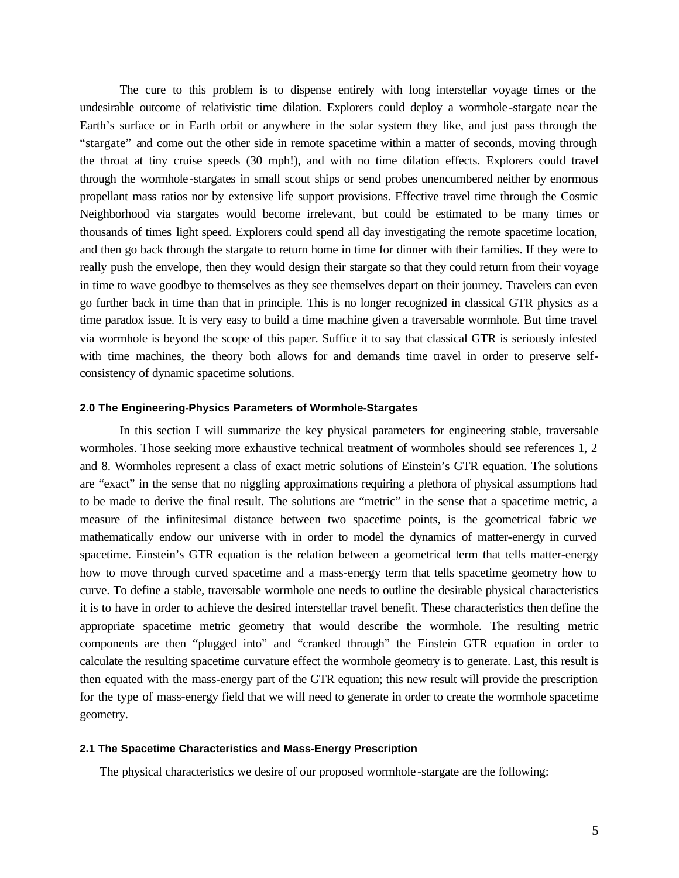The cure to this problem is to dispense entirely with long interstellar voyage times or the undesirable outcome of relativistic time dilation. Explorers could deploy a wormhole-stargate near the Earth's surface or in Earth orbit or anywhere in the solar system they like, and just pass through the "stargate" and come out the other side in remote spacetime within a matter of seconds, moving through the throat at tiny cruise speeds (30 mph!), and with no time dilation effects. Explorers could travel through the wormhole-stargates in small scout ships or send probes unencumbered neither by enormous propellant mass ratios nor by extensive life support provisions. Effective travel time through the Cosmic Neighborhood via stargates would become irrelevant, but could be estimated to be many times or thousands of times light speed. Explorers could spend all day investigating the remote spacetime location, and then go back through the stargate to return home in time for dinner with their families. If they were to really push the envelope, then they would design their stargate so that they could return from their voyage in time to wave goodbye to themselves as they see themselves depart on their journey. Travelers can even go further back in time than that in principle. This is no longer recognized in classical GTR physics as a time paradox issue. It is very easy to build a time machine given a traversable wormhole. But time travel via wormhole is beyond the scope of this paper. Suffice it to say that classical GTR is seriously infested with time machines, the theory both allows for and demands time travel in order to preserve selfconsistency of dynamic spacetime solutions.

### **2.0 The Engineering-Physics Parameters of Wormhole-Stargates**

In this section I will summarize the key physical parameters for engineering stable, traversable wormholes. Those seeking more exhaustive technical treatment of wormholes should see references 1, 2 and 8. Wormholes represent a class of exact metric solutions of Einstein's GTR equation. The solutions are "exact" in the sense that no niggling approximations requiring a plethora of physical assumptions had to be made to derive the final result. The solutions are "metric" in the sense that a spacetime metric, a measure of the infinitesimal distance between two spacetime points, is the geometrical fabric we mathematically endow our universe with in order to model the dynamics of matter-energy in curved spacetime. Einstein's GTR equation is the relation between a geometrical term that tells matter-energy how to move through curved spacetime and a mass-energy term that tells spacetime geometry how to curve. To define a stable, traversable wormhole one needs to outline the desirable physical characteristics it is to have in order to achieve the desired interstellar travel benefit. These characteristics then define the appropriate spacetime metric geometry that would describe the wormhole. The resulting metric components are then "plugged into" and "cranked through" the Einstein GTR equation in order to calculate the resulting spacetime curvature effect the wormhole geometry is to generate. Last, this result is then equated with the mass-energy part of the GTR equation; this new result will provide the prescription for the type of mass-energy field that we will need to generate in order to create the wormhole spacetime geometry.

#### **2.1 The Spacetime Characteristics and Mass-Energy Prescription**

The physical characteristics we desire of our proposed wormhole -stargate are the following: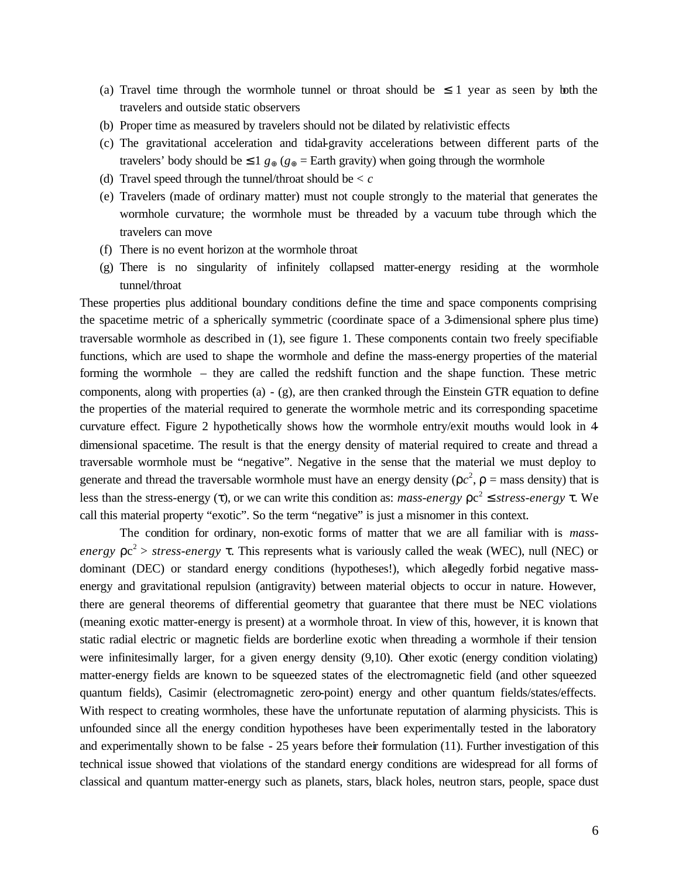- (a) Travel time through the wormhole tunnel or throat should be  $\leq 1$  year as seen by both the travelers and outside static observers
- (b) Proper time as measured by travelers should not be dilated by relativistic effects
- (c) The gravitational acceleration and tidal-gravity accelerations between different parts of the travelers' body should be  $\leq 1$   $g_{\oplus}$  ( $g_{\oplus}$  = Earth gravity) when going through the wormhole
- (d) Travel speed through the tunnel/throat should be < *c*
- (e) Travelers (made of ordinary matter) must not couple strongly to the material that generates the wormhole curvature; the wormhole must be threaded by a vacuum tube through which the travelers can move
- (f) There is no event horizon at the wormhole throat
- (g) There is no singularity of infinitely collapsed matter-energy residing at the wormhole tunnel/throat

These properties plus additional boundary conditions define the time and space components comprising the spacetime metric of a spherically symmetric (coordinate space of a 3-dimensional sphere plus time) traversable wormhole as described in (1), see figure 1. These components contain two freely specifiable functions, which are used to shape the wormhole and define the mass-energy properties of the material forming the wormhole – they are called the redshift function and the shape function. These metric components, along with properties (a)  $-$  (g), are then cranked through the Einstein GTR equation to define the properties of the material required to generate the wormhole metric and its corresponding spacetime curvature effect. Figure 2 hypothetically shows how the wormhole entry/exit mouths would look in 4 dimensional spacetime. The result is that the energy density of material required to create and thread a traversable wormhole must be "negative". Negative in the sense that the material we must deploy to generate and thread the traversable wormhole must have an energy density ( $\rho c^2$ ,  $\rho$  = mass density) that is less than the stress-energy (τ), or we can write this condition as: *mass-energy*  $ρc<sup>2</sup> ≤ *stress-energy* τ. We$ call this material property "exotic". So the term "negative" is just a misnomer in this context.

The condition for ordinary, non-exotic forms of matter that we are all familiar with is *massenergy*  $\rho c^2$  > *stress-energy*  $\tau$ . This represents what is variously called the weak (WEC), null (NEC) or dominant (DEC) or standard energy conditions (hypotheses!), which allegedly forbid negative massenergy and gravitational repulsion (antigravity) between material objects to occur in nature. However, there are general theorems of differential geometry that guarantee that there must be NEC violations (meaning exotic matter-energy is present) at a wormhole throat. In view of this, however, it is known that static radial electric or magnetic fields are borderline exotic when threading a wormhole if their tension were infinitesimally larger, for a given energy density (9,10). Other exotic (energy condition violating) matter-energy fields are known to be squeezed states of the electromagnetic field (and other squeezed quantum fields), Casimir (electromagnetic zero-point) energy and other quantum fields/states/effects. With respect to creating wormholes, these have the unfortunate reputation of alarming physicists. This is unfounded since all the energy condition hypotheses have been experimentally tested in the laboratory and experimentally shown to be false - 25 years before their formulation (11). Further investigation of this technical issue showed that violations of the standard energy conditions are widespread for all forms of classical and quantum matter-energy such as planets, stars, black holes, neutron stars, people, space dust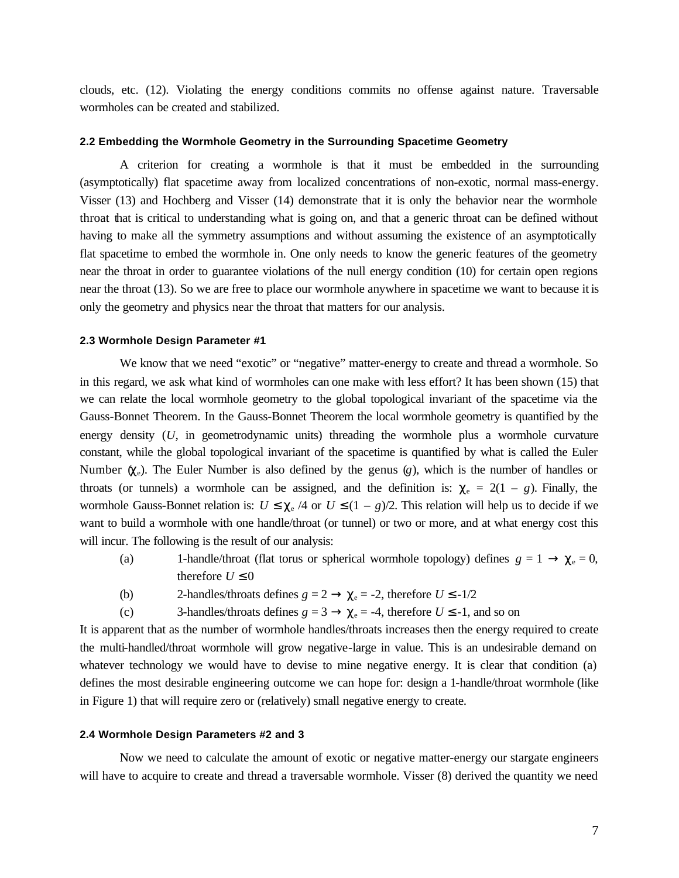clouds, etc. (12). Violating the energy conditions commits no offense against nature. Traversable wormholes can be created and stabilized.

#### **2.2 Embedding the Wormhole Geometry in the Surrounding Spacetime Geometry**

A criterion for creating a wormhole is that it must be embedded in the surrounding (asymptotically) flat spacetime away from localized concentrations of non-exotic, normal mass-energy. Visser (13) and Hochberg and Visser (14) demonstrate that it is only the behavior near the wormhole throat that is critical to understanding what is going on, and that a generic throat can be defined without having to make all the symmetry assumptions and without assuming the existence of an asymptotically flat spacetime to embed the wormhole in. One only needs to know the generic features of the geometry near the throat in order to guarantee violations of the null energy condition (10) for certain open regions near the throat (13). So we are free to place our wormhole anywhere in spacetime we want to because it is only the geometry and physics near the throat that matters for our analysis.

#### **2.3 Wormhole Design Parameter #1**

We know that we need "exotic" or "negative" matter-energy to create and thread a wormhole. So in this regard, we ask what kind of wormholes can one make with less effort? It has been shown (15) that we can relate the local wormhole geometry to the global topological invariant of the spacetime via the Gauss-Bonnet Theorem. In the Gauss-Bonnet Theorem the local wormhole geometry is quantified by the energy density (*U*, in geometrodynamic units) threading the wormhole plus a wormhole curvature constant, while the global topological invariant of the spacetime is quantified by what is called the Euler Number  $(\chi_e)$ . The Euler Number is also defined by the genus  $(g)$ , which is the number of handles or throats (or tunnels) a wormhole can be assigned, and the definition is:  $\chi_e = 2(1 - g)$ . Finally, the wormhole Gauss-Bonnet relation is:  $U \leq \chi_e / 4$  or  $U \leq (1 - g)/2$ . This relation will help us to decide if we want to build a wormhole with one handle/throat (or tunnel) or two or more, and at what energy cost this will incur. The following is the result of our analysis:

- (a) 1-handle/throat (flat torus or spherical wormhole topology) defines  $g = 1 \rightarrow \chi_e = 0$ , therefore  $U \leq 0$
- (b) 2-handles/throats defines  $g = 2 \rightarrow \chi_e = -2$ , therefore  $U \le -1/2$
- (c) 3-handles/throats defines  $g = 3 \rightarrow \chi_e = -4$ , therefore  $U \le -1$ , and so on

It is apparent that as the number of wormhole handles/throats increases then the energy required to create the multi-handled/throat wormhole will grow negative-large in value. This is an undesirable demand on whatever technology we would have to devise to mine negative energy. It is clear that condition (a) defines the most desirable engineering outcome we can hope for: design a 1-handle/throat wormhole (like in Figure 1) that will require zero or (relatively) small negative energy to create.

# **2.4 Wormhole Design Parameters #2 and 3**

Now we need to calculate the amount of exotic or negative matter-energy our stargate engineers will have to acquire to create and thread a traversable wormhole. Visser  $(8)$  derived the quantity we need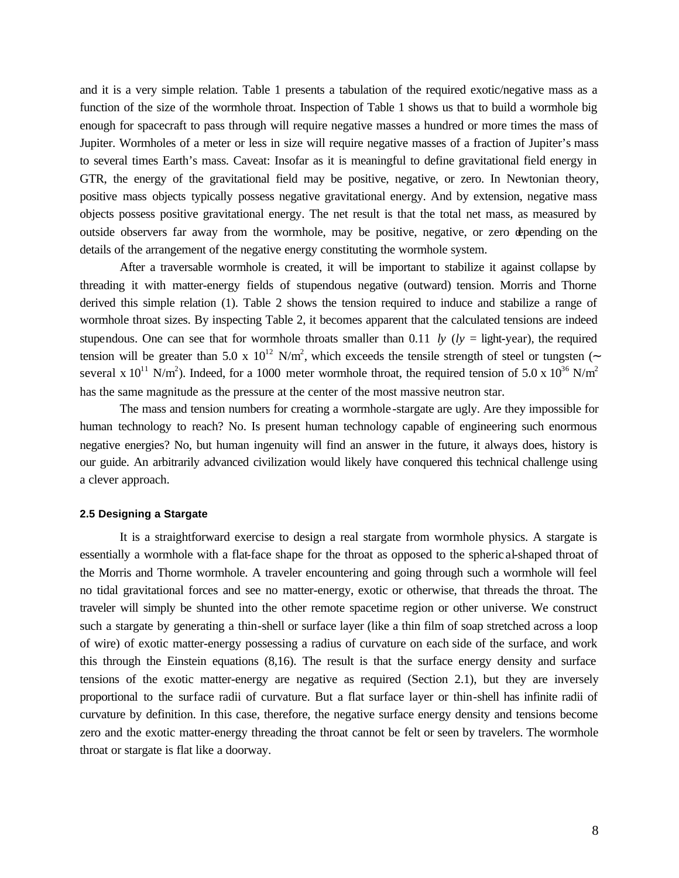and it is a very simple relation. Table 1 presents a tabulation of the required exotic/negative mass as a function of the size of the wormhole throat. Inspection of Table 1 shows us that to build a wormhole big enough for spacecraft to pass through will require negative masses a hundred or more times the mass of Jupiter. Wormholes of a meter or less in size will require negative masses of a fraction of Jupiter's mass to several times Earth's mass. Caveat: Insofar as it is meaningful to define gravitational field energy in GTR, the energy of the gravitational field may be positive, negative, or zero. In Newtonian theory, positive mass objects typically possess negative gravitational energy. And by extension, negative mass objects possess positive gravitational energy. The net result is that the total net mass, as measured by outside observers far away from the wormhole, may be positive, negative, or zero depending on the details of the arrangement of the negative energy constituting the wormhole system.

After a traversable wormhole is created, it will be important to stabilize it against collapse by threading it with matter-energy fields of stupendous negative (outward) tension. Morris and Thorne derived this simple relation (1). Table 2 shows the tension required to induce and stabilize a range of wormhole throat sizes. By inspecting Table 2, it becomes apparent that the calculated tensions are indeed stupendous. One can see that for wormhole throats smaller than 0.11 *ly* ( $l_y$  = light-year), the required tension will be greater than 5.0 x  $10^{12}$  N/m<sup>2</sup>, which exceeds the tensile strength of steel or tungsten (∼ several x  $10^{11}$  N/m<sup>2</sup>). Indeed, for a 1000 meter wormhole throat, the required tension of 5.0 x  $10^{36}$  N/m<sup>2</sup> has the same magnitude as the pressure at the center of the most massive neutron star.

The mass and tension numbers for creating a wormhole -stargate are ugly. Are they impossible for human technology to reach? No. Is present human technology capable of engineering such enormous negative energies? No, but human ingenuity will find an answer in the future, it always does, history is our guide. An arbitrarily advanced civilization would likely have conquered this technical challenge using a clever approach.

#### **2.5 Designing a Stargate**

It is a straightforward exercise to design a real stargate from wormhole physics. A stargate is essentially a wormhole with a flat-face shape for the throat as opposed to the spheric al-shaped throat of the Morris and Thorne wormhole. A traveler encountering and going through such a wormhole will feel no tidal gravitational forces and see no matter-energy, exotic or otherwise, that threads the throat. The traveler will simply be shunted into the other remote spacetime region or other universe. We construct such a stargate by generating a thin-shell or surface layer (like a thin film of soap stretched across a loop of wire) of exotic matter-energy possessing a radius of curvature on each side of the surface, and work this through the Einstein equations (8,16). The result is that the surface energy density and surface tensions of the exotic matter-energy are negative as required (Section 2.1), but they are inversely proportional to the surface radii of curvature. But a flat surface layer or thin-shell has infinite radii of curvature by definition. In this case, therefore, the negative surface energy density and tensions become zero and the exotic matter-energy threading the throat cannot be felt or seen by travelers. The wormhole throat or stargate is flat like a doorway.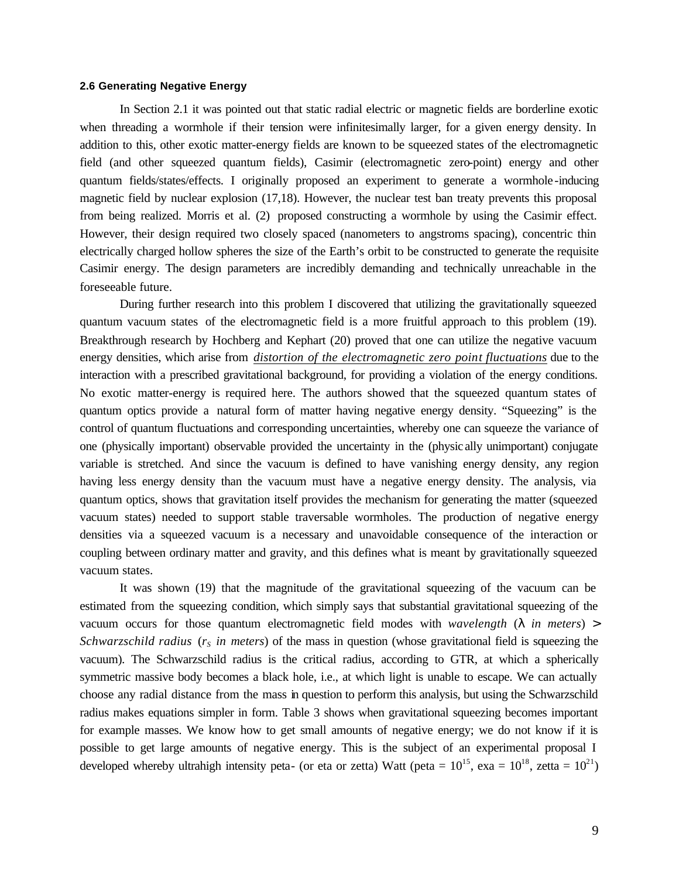# **2.6 Generating Negative Energy**

In Section 2.1 it was pointed out that static radial electric or magnetic fields are borderline exotic when threading a wormhole if their tension were infinitesimally larger, for a given energy density. In addition to this, other exotic matter-energy fields are known to be squeezed states of the electromagnetic field (and other squeezed quantum fields), Casimir (electromagnetic zero-point) energy and other quantum fields/states/effects. I originally proposed an experiment to generate a wormhole -inducing magnetic field by nuclear explosion (17,18). However, the nuclear test ban treaty prevents this proposal from being realized. Morris et al. (2) proposed constructing a wormhole by using the Casimir effect. However, their design required two closely spaced (nanometers to angstroms spacing), concentric thin electrically charged hollow spheres the size of the Earth's orbit to be constructed to generate the requisite Casimir energy. The design parameters are incredibly demanding and technically unreachable in the foreseeable future.

During further research into this problem I discovered that utilizing the gravitationally squeezed quantum vacuum states of the electromagnetic field is a more fruitful approach to this problem (19). Breakthrough research by Hochberg and Kephart (20) proved that one can utilize the negative vacuum energy densities, which arise from *distortion of the electromagnetic zero point fluctuations* due to the interaction with a prescribed gravitational background, for providing a violation of the energy conditions. No exotic matter-energy is required here. The authors showed that the squeezed quantum states of quantum optics provide a natural form of matter having negative energy density. "Squeezing" is the control of quantum fluctuations and corresponding uncertainties, whereby one can squeeze the variance of one (physically important) observable provided the uncertainty in the (physically unimportant) conjugate variable is stretched. And since the vacuum is defined to have vanishing energy density, any region having less energy density than the vacuum must have a negative energy density. The analysis, via quantum optics, shows that gravitation itself provides the mechanism for generating the matter (squeezed vacuum states) needed to support stable traversable wormholes. The production of negative energy densities via a squeezed vacuum is a necessary and unavoidable consequence of the interaction or coupling between ordinary matter and gravity, and this defines what is meant by gravitationally squeezed vacuum states.

It was shown (19) that the magnitude of the gravitational squeezing of the vacuum can be estimated from the squeezing condition, which simply says that substantial gravitational squeezing of the vacuum occurs for those quantum electromagnetic field modes with *wavelength* (*l in meters*) > *Schwarzschild radius* (*rS in meters*) of the mass in question (whose gravitational field is squeezing the vacuum). The Schwarzschild radius is the critical radius, according to GTR, at which a spherically symmetric massive body becomes a black hole, i.e., at which light is unable to escape. We can actually choose any radial distance from the mass in question to perform this analysis, but using the Schwarzschild radius makes equations simpler in form. Table 3 shows when gravitational squeezing becomes important for example masses. We know how to get small amounts of negative energy; we do not know if it is possible to get large amounts of negative energy. This is the subject of an experimental proposal I developed whereby ultrahigh intensity peta- (or eta or zetta) Watt (peta =  $10^{15}$ , exa =  $10^{18}$ , zetta =  $10^{21}$ )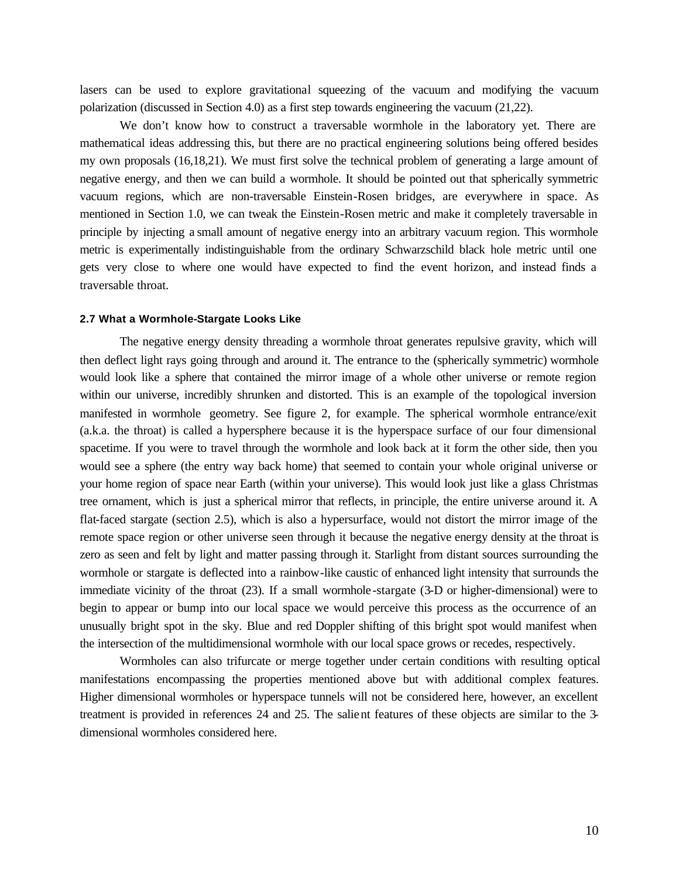lasers can be used to explore gravitational squeezing of the vacuum and modifying the vacuum polarization (discussed in Section 4.0) as a first step towards engineering the vacuum (21,22).

We don't know how to construct a traversable wormhole in the laboratory yet. There are mathematical ideas addressing this, but there are no practical engineering solutions being offered besides my own proposals (16,18,21). We must first solve the technical problem of generating a large amount of negative energy, and then we can build a wormhole. It should be pointed out that spherically symmetric vacuum regions, which are non-traversable Einstein-Rosen bridges, are everywhere in space. As mentioned in Section 1.0, we can tweak the Einstein-Rosen metric and make it completely traversable in principle by injecting a small amount of negative energy into an arbitrary vacuum region. This wormhole metric is experimentally indistinguishable from the ordinary Schwarzschild black hole metric until one gets very close to where one would have expected to find the event horizon, and instead finds a traversable throat.

#### **2.7 What a Wormhole-Stargate Looks Like**

The negative energy density threading a wormhole throat generates repulsive gravity, which will then deflect light rays going through and around it. The entrance to the (spherically symmetric) wormhole would look like a sphere that contained the mirror image of a whole other universe or remote region within our universe, incredibly shrunken and distorted. This is an example of the topological inversion manifested in wormhole geometry. See figure 2, for example. The spherical wormhole entrance/exit (a.k.a. the throat) is called a hypersphere because it is the hyperspace surface of our four dimensional spacetime. If you were to travel through the wormhole and look back at it form the other side, then you would see a sphere (the entry way back home) that seemed to contain your whole original universe or your home region of space near Earth (within your universe). This would look just like a glass Christmas tree ornament, which is just a spherical mirror that reflects, in principle, the entire universe around it. A flat-faced stargate (section 2.5), which is also a hypersurface, would not distort the mirror image of the remote space region or other universe seen through it because the negative energy density at the throat is zero as seen and felt by light and matter passing through it. Starlight from distant sources surrounding the wormhole or stargate is deflected into a rainbow-like caustic of enhanced light intensity that surrounds the immediate vicinity of the throat (23). If a small wormhole-stargate (3-D or higher-dimensional) were to begin to appear or bump into our local space we would perceive this process as the occurrence of an unusually bright spot in the sky. Blue and red Doppler shifting of this bright spot would manifest when the intersection of the multidimensional wormhole with our local space grows or recedes, respectively.

Wormholes can also trifurcate or merge together under certain conditions with resulting optical manifestations encompassing the properties mentioned above but with additional complex features. Higher dimensional wormholes or hyperspace tunnels will not be considered here, however, an excellent treatment is provided in references 24 and 25. The salient features of these objects are similar to the 3 dimensional wormholes considered here.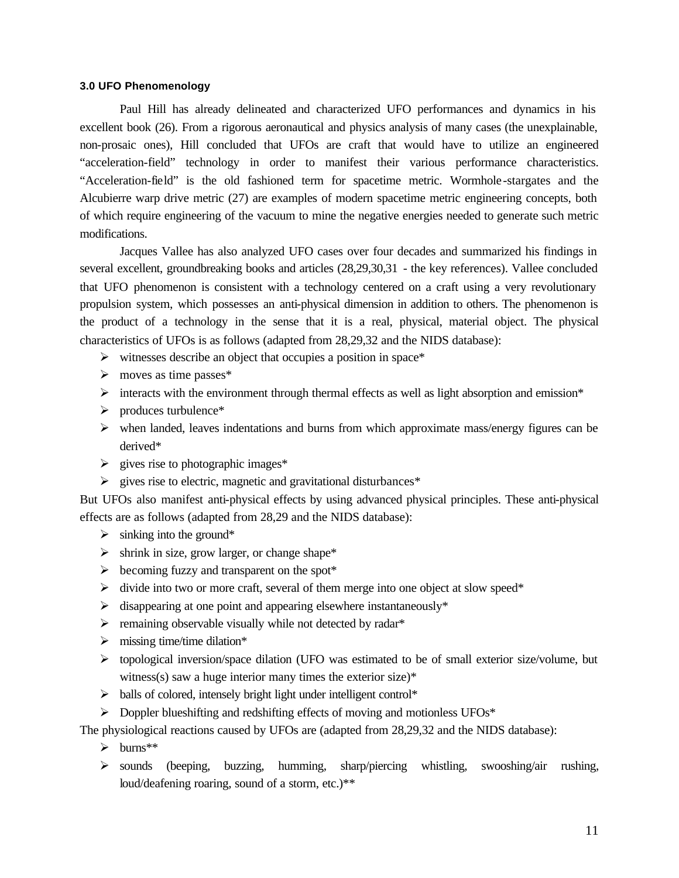# **3.0 UFO Phenomenology**

Paul Hill has already delineated and characterized UFO performances and dynamics in his excellent book (26). From a rigorous aeronautical and physics analysis of many cases (the unexplainable, non-prosaic ones), Hill concluded that UFOs are craft that would have to utilize an engineered "acceleration-field" technology in order to manifest their various performance characteristics. "Acceleration-field" is the old fashioned term for spacetime metric. Wormhole -stargates and the Alcubierre warp drive metric (27) are examples of modern spacetime metric engineering concepts, both of which require engineering of the vacuum to mine the negative energies needed to generate such metric modifications.

Jacques Vallee has also analyzed UFO cases over four decades and summarized his findings in several excellent, groundbreaking books and articles (28,29,30,31 - the key references). Vallee concluded that UFO phenomenon is consistent with a technology centered on a craft using a very revolutionary propulsion system, which possesses an anti-physical dimension in addition to others. The phenomenon is the product of a technology in the sense that it is a real, physical, material object. The physical characteristics of UFOs is as follows (adapted from 28,29,32 and the NIDS database):

- $\triangleright$  witnesses describe an object that occupies a position in space\*
- $\triangleright$  moves as time passes\*
- $\triangleright$  interacts with the environment through thermal effects as well as light absorption and emission\*
- $\triangleright$  produces turbulence\*
- $\triangleright$  when landed, leaves indentations and burns from which approximate mass/energy figures can be derived\*
- $\geq$  gives rise to photographic images\*
- $\triangleright$  gives rise to electric, magnetic and gravitational disturbances\*

But UFOs also manifest anti-physical effects by using advanced physical principles. These anti-physical effects are as follows (adapted from 28,29 and the NIDS database):

- $\triangleright$  sinking into the ground\*
- $\triangleright$  shrink in size, grow larger, or change shape\*
- $\triangleright$  becoming fuzzy and transparent on the spot\*
- $\triangleright$  divide into two or more craft, several of them merge into one object at slow speed\*
- $\triangleright$  disappearing at one point and appearing elsewhere instantaneously\*
- $\triangleright$  remaining observable visually while not detected by radar\*
- $\triangleright$  missing time/time dilation\*
- $\triangleright$  topological inversion/space dilation (UFO was estimated to be of small exterior size/volume, but witness(s) saw a huge interior many times the exterior size)\*
- $\triangleright$  balls of colored, intensely bright light under intelligent control\*
- $\triangleright$  Doppler blueshifting and redshifting effects of moving and motionless UFOs\*

The physiological reactions caused by UFOs are (adapted from 28,29,32 and the NIDS database):

- $\triangleright$  burns\*\*
- $\triangleright$  sounds (beeping, buzzing, humming, sharp/piercing whistling, swooshing/air rushing, loud/deafening roaring, sound of a storm, etc.)\*\*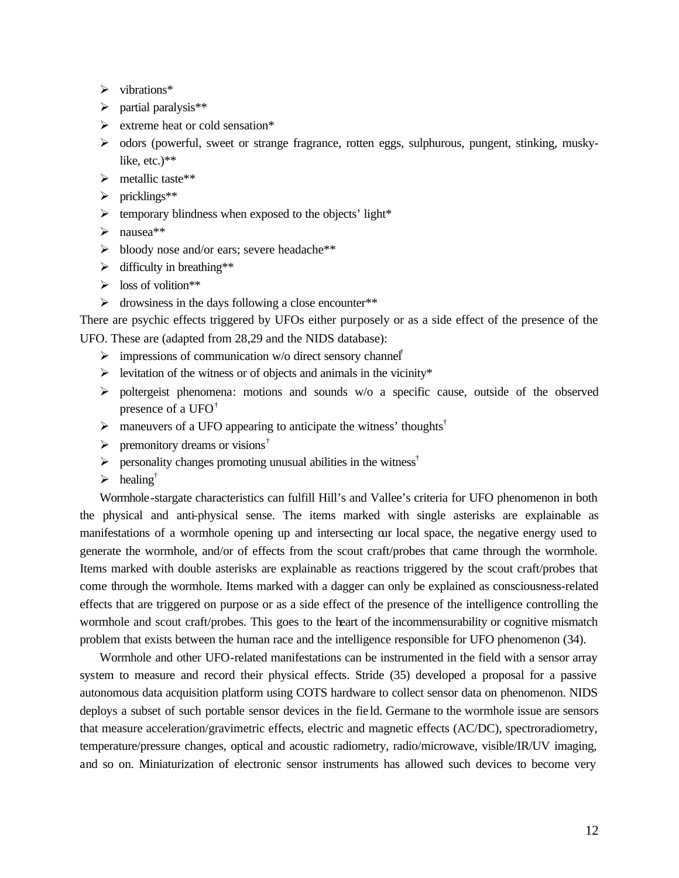- $\triangleright$  vibrations\*
- $\triangleright$  partial paralysis\*\*
- $\triangleright$  extreme heat or cold sensation\*
- $\triangleright$  odors (powerful, sweet or strange fragrance, rotten eggs, sulphurous, pungent, stinking, muskylike, etc.)\*\*
- $\triangleright$  metallic taste\*\*
- $\triangleright$  pricklings\*\*
- $\triangleright$  temporary blindness when exposed to the objects' light\*
- $\blacktriangleright$  nausea\*\*
- ÿ bloody nose and/or ears; severe headache\*\*
- $\triangleright$  difficulty in breathing\*\*
- $\triangleright$  loss of volition\*\*
- $\triangleright$  drowsiness in the days following a close encounter\*\*

There are psychic effects triggered by UFOs either purposely or as a side effect of the presence of the UFO. These are (adapted from 28,29 and the NIDS database):

- $\triangleright$  impressions of communication w/o direct sensory channel<sup>†</sup>
- $\triangleright$  levitation of the witness or of objects and animals in the vicinity\*
- $\triangleright$  poltergeist phenomena: motions and sounds w/o a specific cause, outside of the observed presence of a UFO $^{\dagger}$
- $\triangleright$  maneuvers of a UFO appearing to anticipate the witness' thoughts<sup>†</sup>
- $\triangleright$  premonitory dreams or visions<sup>†</sup>
- $\triangleright$  personality changes promoting unusual abilities in the witness<sup>†</sup>
- $\triangleright$  healing<sup>†</sup>

Wormhole-stargate characteristics can fulfill Hill's and Vallee's criteria for UFO phenomenon in both the physical and anti-physical sense. The items marked with single asterisks are explainable as manifestations of a wormhole opening up and intersecting our local space, the negative energy used to generate the wormhole, and/or of effects from the scout craft/probes that came through the wormhole. Items marked with double asterisks are explainable as reactions triggered by the scout craft/probes that come through the wormhole. Items marked with a dagger can only be explained as consciousness-related effects that are triggered on purpose or as a side effect of the presence of the intelligence controlling the wormhole and scout craft/probes. This goes to the heart of the incommensurability or cognitive mismatch problem that exists between the human race and the intelligence responsible for UFO phenomenon (34).

Wormhole and other UFO-related manifestations can be instrumented in the field with a sensor array system to measure and record their physical effects. Stride (35) developed a proposal for a passive autonomous data acquisition platform using COTS hardware to collect sensor data on phenomenon. NIDS deploys a subset of such portable sensor devices in the fie ld. Germane to the wormhole issue are sensors that measure acceleration/gravimetric effects, electric and magnetic effects (AC/DC), spectroradiometry, temperature/pressure changes, optical and acoustic radiometry, radio/microwave, visible/IR/UV imaging, and so on. Miniaturization of electronic sensor instruments has allowed such devices to become very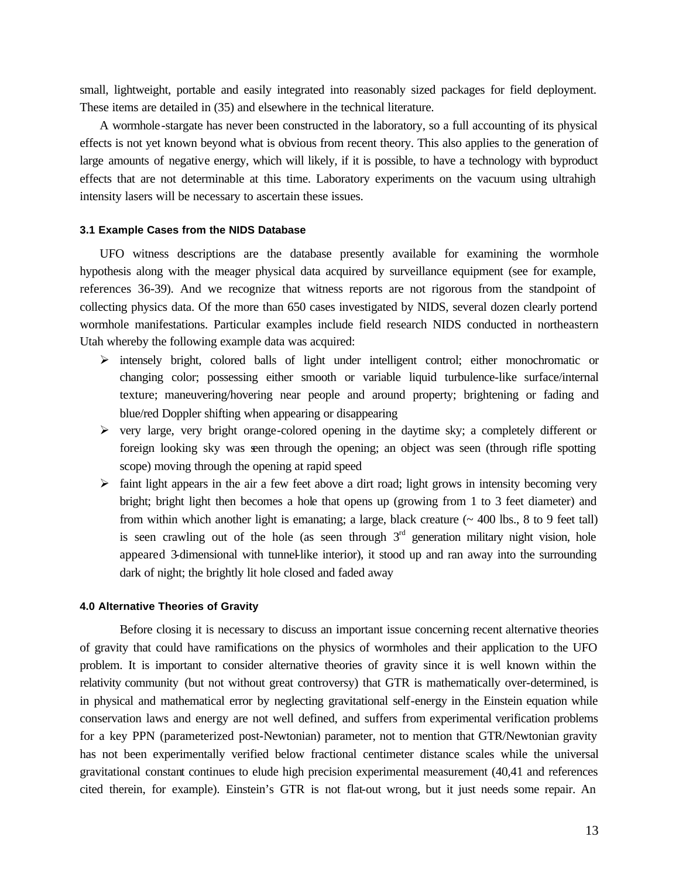small, lightweight, portable and easily integrated into reasonably sized packages for field deployment. These items are detailed in (35) and elsewhere in the technical literature.

A wormhole-stargate has never been constructed in the laboratory, so a full accounting of its physical effects is not yet known beyond what is obvious from recent theory. This also applies to the generation of large amounts of negative energy, which will likely, if it is possible, to have a technology with byproduct effects that are not determinable at this time. Laboratory experiments on the vacuum using ultrahigh intensity lasers will be necessary to ascertain these issues.

## **3.1 Example Cases from the NIDS Database**

UFO witness descriptions are the database presently available for examining the wormhole hypothesis along with the meager physical data acquired by surveillance equipment (see for example, references 36-39). And we recognize that witness reports are not rigorous from the standpoint of collecting physics data. Of the more than 650 cases investigated by NIDS, several dozen clearly portend wormhole manifestations. Particular examples include field research NIDS conducted in northeastern Utah whereby the following example data was acquired:

- ÿ intensely bright, colored balls of light under intelligent control; either monochromatic or changing color; possessing either smooth or variable liquid turbulence-like surface/internal texture; maneuvering/hovering near people and around property; brightening or fading and blue/red Doppler shifting when appearing or disappearing
- $\triangleright$  very large, very bright orange-colored opening in the daytime sky; a completely different or foreign looking sky was seen through the opening; an object was seen (through rifle spotting scope) moving through the opening at rapid speed
- $\triangleright$  faint light appears in the air a few feet above a dirt road; light grows in intensity becoming very bright; bright light then becomes a hole that opens up (growing from 1 to 3 feet diameter) and from within which another light is emanating; a large, black creature  $($   $\sim$  400 lbs., 8 to 9 feet tall) is seen crawling out of the hole (as seen through  $3<sup>rd</sup>$  generation military night vision, hole appeared 3-dimensional with tunnel-like interior), it stood up and ran away into the surrounding dark of night; the brightly lit hole closed and faded away

#### **4.0 Alternative Theories of Gravity**

Before closing it is necessary to discuss an important issue concerning recent alternative theories of gravity that could have ramifications on the physics of wormholes and their application to the UFO problem. It is important to consider alternative theories of gravity since it is well known within the relativity community (but not without great controversy) that GTR is mathematically over-determined, is in physical and mathematical error by neglecting gravitational self-energy in the Einstein equation while conservation laws and energy are not well defined, and suffers from experimental verification problems for a key PPN (parameterized post-Newtonian) parameter, not to mention that GTR/Newtonian gravity has not been experimentally verified below fractional centimeter distance scales while the universal gravitational constant continues to elude high precision experimental measurement (40,41 and references cited therein, for example). Einstein's GTR is not flat-out wrong, but it just needs some repair. An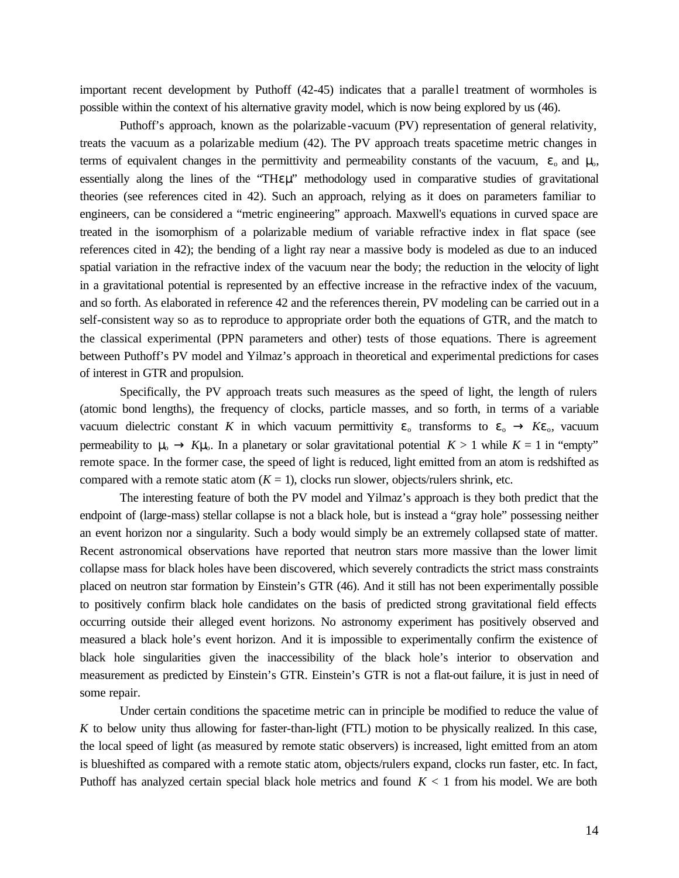important recent development by Puthoff (42-45) indicates that a paralle l treatment of wormholes is possible within the context of his alternative gravity model, which is now being explored by us (46).

Puthoff's approach, known as the polarizable -vacuum (PV) representation of general relativity, treats the vacuum as a polarizable medium (42). The PV approach treats spacetime metric changes in terms of equivalent changes in the permittivity and permeability constants of the vacuum,  $\varepsilon_0$  and  $\mu_0$ , essentially along the lines of the "THεμ" methodology used in comparative studies of gravitational theories (see references cited in 42). Such an approach, relying as it does on parameters familiar to engineers, can be considered a "metric engineering" approach. Maxwell's equations in curved space are treated in the isomorphism of a polarizable medium of variable refractive index in flat space (see references cited in 42); the bending of a light ray near a massive body is modeled as due to an induced spatial variation in the refractive index of the vacuum near the body; the reduction in the velocity of light in a gravitational potential is represented by an effective increase in the refractive index of the vacuum, and so forth. As elaborated in reference 42 and the references therein, PV modeling can be carried out in a self-consistent way so as to reproduce to appropriate order both the equations of GTR, and the match to the classical experimental (PPN parameters and other) tests of those equations. There is agreement between Puthoff's PV model and Yilmaz's approach in theoretical and experimental predictions for cases of interest in GTR and propulsion.

Specifically, the PV approach treats such measures as the speed of light, the length of rulers (atomic bond lengths), the frequency of clocks, particle masses, and so forth, in terms of a variable vacuum dielectric constant *K* in which vacuum permittivity  $\varepsilon_0$  transforms to  $\varepsilon_0 \otimes K\varepsilon_0$ , vacuum permeability to μ<sub>o</sub> *®* Kμ<sub>o</sub>. In a planetary or solar gravitational potential  $K > 1$  while  $K = 1$  in "empty" remote space. In the former case, the speed of light is reduced, light emitted from an atom is redshifted as compared with a remote static atom  $(K = 1)$ , clocks run slower, objects/rulers shrink, etc.

The interesting feature of both the PV model and Yilmaz's approach is they both predict that the endpoint of (large-mass) stellar collapse is not a black hole, but is instead a "gray hole" possessing neither an event horizon nor a singularity. Such a body would simply be an extremely collapsed state of matter. Recent astronomical observations have reported that neutron stars more massive than the lower limit collapse mass for black holes have been discovered, which severely contradicts the strict mass constraints placed on neutron star formation by Einstein's GTR (46). And it still has not been experimentally possible to positively confirm black hole candidates on the basis of predicted strong gravitational field effects occurring outside their alleged event horizons. No astronomy experiment has positively observed and measured a black hole's event horizon. And it is impossible to experimentally confirm the existence of black hole singularities given the inaccessibility of the black hole's interior to observation and measurement as predicted by Einstein's GTR. Einstein's GTR is not a flat-out failure, it is just in need of some repair.

Under certain conditions the spacetime metric can in principle be modified to reduce the value of *K* to below unity thus allowing for faster-than-light (FTL) motion to be physically realized. In this case, the local speed of light (as measured by remote static observers) is increased, light emitted from an atom is blueshifted as compared with a remote static atom, objects/rulers expand, clocks run faster, etc. In fact, Puthoff has analyzed certain special black hole metrics and found *K* < 1 from his model. We are both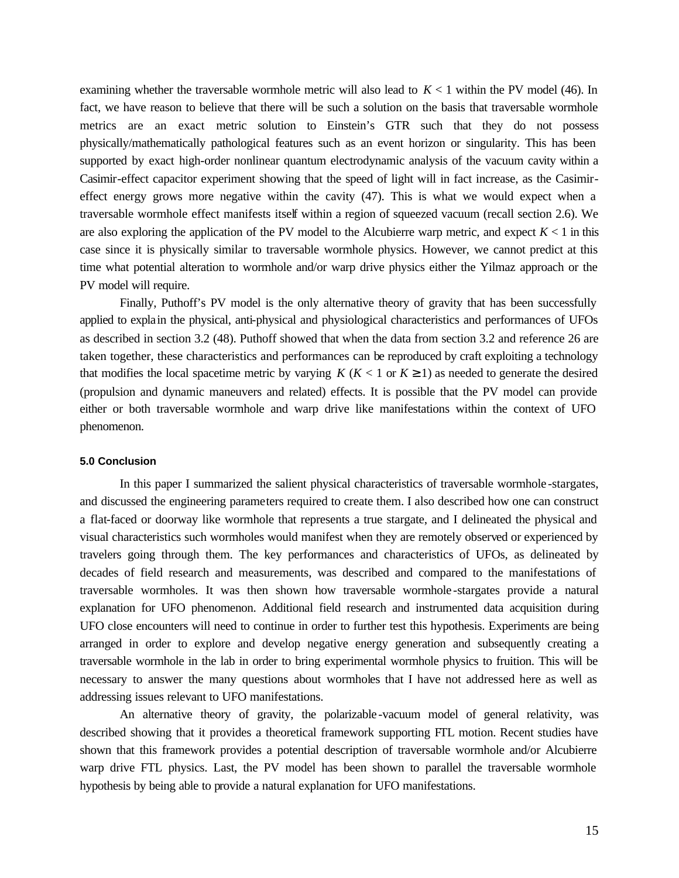examining whether the traversable wormhole metric will also lead to *K* < 1 within the PV model (46). In fact, we have reason to believe that there will be such a solution on the basis that traversable wormhole metrics are an exact metric solution to Einstein's GTR such that they do not possess physically/mathematically pathological features such as an event horizon or singularity. This has been supported by exact high-order nonlinear quantum electrodynamic analysis of the vacuum cavity within a Casimir-effect capacitor experiment showing that the speed of light will in fact increase, as the Casimireffect energy grows more negative within the cavity (47). This is what we would expect when a traversable wormhole effect manifests itself within a region of squeezed vacuum (recall section 2.6). We are also exploring the application of the PV model to the Alcubierre warp metric, and expect  $K < 1$  in this case since it is physically similar to traversable wormhole physics. However, we cannot predict at this time what potential alteration to wormhole and/or warp drive physics either the Yilmaz approach or the PV model will require.

Finally, Puthoff's PV model is the only alternative theory of gravity that has been successfully applied to explain the physical, anti-physical and physiological characteristics and performances of UFOs as described in section 3.2 (48). Puthoff showed that when the data from section 3.2 and reference 26 are taken together, these characteristics and performances can be reproduced by craft exploiting a technology that modifies the local spacetime metric by varying  $K$  ( $K < 1$  or  $K \ge 1$ ) as needed to generate the desired (propulsion and dynamic maneuvers and related) effects. It is possible that the PV model can provide either or both traversable wormhole and warp drive like manifestations within the context of UFO phenomenon.

#### **5.0 Conclusion**

In this paper I summarized the salient physical characteristics of traversable wormhole -stargates, and discussed the engineering parameters required to create them. I also described how one can construct a flat-faced or doorway like wormhole that represents a true stargate, and I delineated the physical and visual characteristics such wormholes would manifest when they are remotely observed or experienced by travelers going through them. The key performances and characteristics of UFOs, as delineated by decades of field research and measurements, was described and compared to the manifestations of traversable wormholes. It was then shown how traversable wormhole -stargates provide a natural explanation for UFO phenomenon. Additional field research and instrumented data acquisition during UFO close encounters will need to continue in order to further test this hypothesis. Experiments are being arranged in order to explore and develop negative energy generation and subsequently creating a traversable wormhole in the lab in order to bring experimental wormhole physics to fruition. This will be necessary to answer the many questions about wormholes that I have not addressed here as well as addressing issues relevant to UFO manifestations.

An alternative theory of gravity, the polarizable-vacuum model of general relativity, was described showing that it provides a theoretical framework supporting FTL motion. Recent studies have shown that this framework provides a potential description of traversable wormhole and/or Alcubierre warp drive FTL physics. Last, the PV model has been shown to parallel the traversable wormhole hypothesis by being able to provide a natural explanation for UFO manifestations.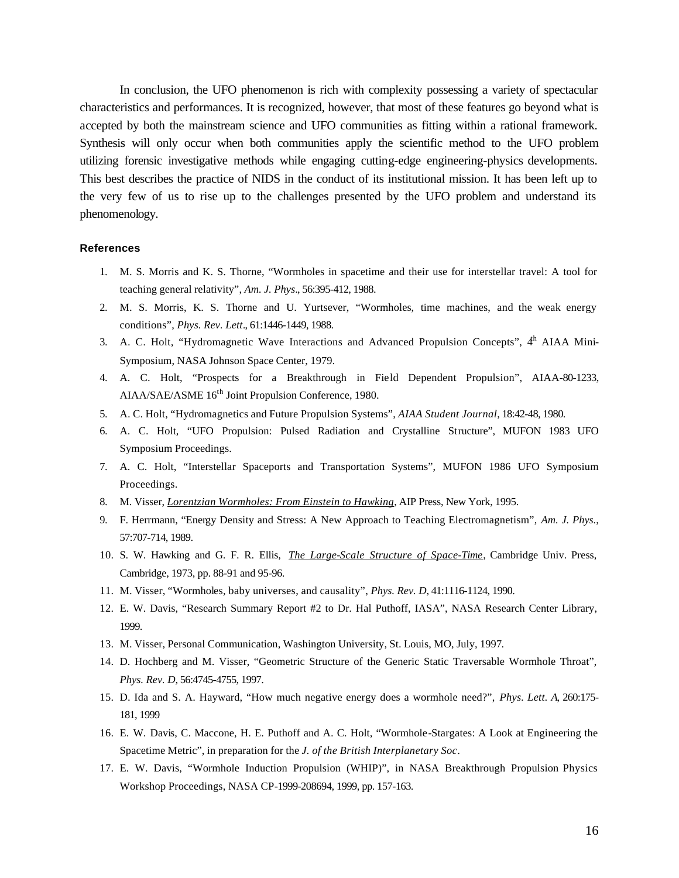In conclusion, the UFO phenomenon is rich with complexity possessing a variety of spectacular characteristics and performances. It is recognized, however, that most of these features go beyond what is accepted by both the mainstream science and UFO communities as fitting within a rational framework. Synthesis will only occur when both communities apply the scientific method to the UFO problem utilizing forensic investigative methods while engaging cutting-edge engineering-physics developments. This best describes the practice of NIDS in the conduct of its institutional mission. It has been left up to the very few of us to rise up to the challenges presented by the UFO problem and understand its phenomenology.

#### **References**

- 1. M. S. Morris and K. S. Thorne, "Wormholes in spacetime and their use for interstellar travel: A tool for teaching general relativity", *Am. J. Phys*., 56:395-412, 1988.
- 2. M. S. Morris, K. S. Thorne and U. Yurtsever, "Wormholes, time machines, and the weak energy conditions", *Phys. Rev. Lett*., 61:1446-1449, 1988.
- 3. A. C. Holt, "Hydromagnetic Wave Interactions and Advanced Propulsion Concepts",  $4<sup>h</sup>$  AIAA Mini-Symposium, NASA Johnson Space Center, 1979.
- 4. A. C. Holt, "Prospects for a Breakthrough in Field Dependent Propulsion", AIAA-80-1233, AIAA/SAE/ASME 16<sup>th</sup> Joint Propulsion Conference, 1980.
- 5. A. C. Holt, "Hydromagnetics and Future Propulsion Systems", *AIAA Student Journal*, 18:42-48, 1980.
- 6. A. C. Holt, "UFO Propulsion: Pulsed Radiation and Crystalline Structure", MUFON 1983 UFO Symposium Proceedings.
- 7. A. C. Holt, "Interstellar Spaceports and Transportation Systems", MUFON 1986 UFO Symposium Proceedings.
- 8. M. Visser, *Lorentzian Wormholes: From Einstein to Hawking*, AIP Press, New York, 1995.
- 9. F. Herrmann, "Energy Density and Stress: A New Approach to Teaching Electromagnetism", *Am. J. Phys.*, 57:707-714, 1989.
- 10. S. W. Hawking and G. F. R. Ellis, *The Large-Scale Structure of Space-Time*, Cambridge Univ. Press, Cambridge, 1973, pp. 88-91 and 95-96.
- 11. M. Visser, "Wormholes, baby universes, and causality", *Phys. Rev. D*, 41:1116-1124, 1990.
- 12. E. W. Davis, "Research Summary Report #2 to Dr. Hal Puthoff, IASA", NASA Research Center Library, 1999.
- 13. M. Visser, Personal Communication, Washington University, St. Louis, MO, July, 1997.
- 14. D. Hochberg and M. Visser, "Geometric Structure of the Generic Static Traversable Wormhole Throat", *Phys. Rev. D*, 56:4745-4755, 1997.
- 15. D. Ida and S. A. Hayward, "How much negative energy does a wormhole need?", *Phys. Lett. A*, 260:175- 181, 1999
- 16. E. W. Davis, C. Maccone, H. E. Puthoff and A. C. Holt, "Wormhole-Stargates: A Look at Engineering the Spacetime Metric", in preparation for the *J. of the British Interplanetary Soc*.
- 17. E. W. Davis, "Wormhole Induction Propulsion (WHIP)", in NASA Breakthrough Propulsion Physics Workshop Proceedings, NASA CP-1999-208694, 1999, pp. 157-163.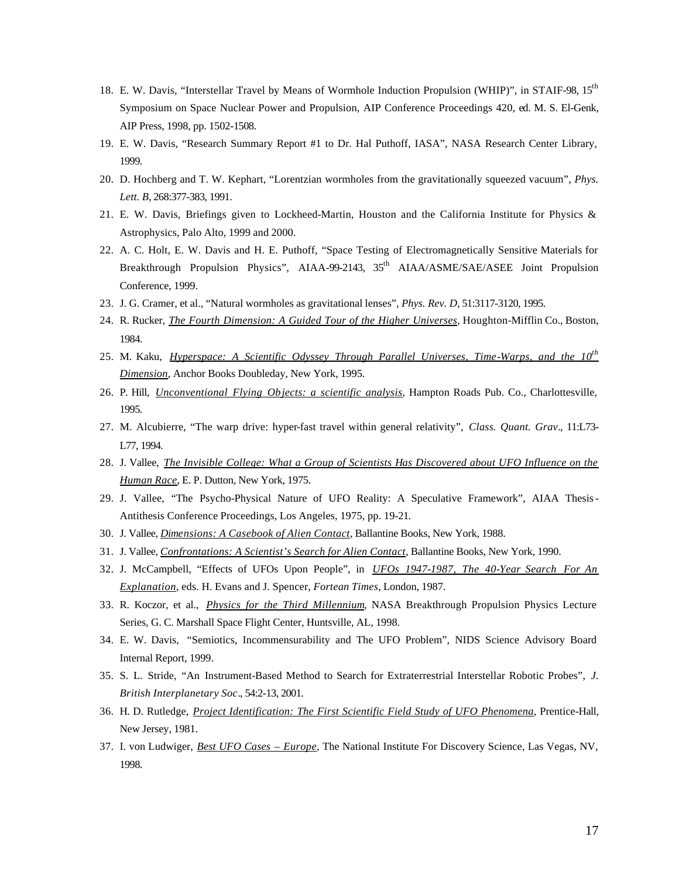- 18. E. W. Davis, "Interstellar Travel by Means of Wormhole Induction Propulsion (WHIP)", in STAIF-98, 15<sup>th</sup> Symposium on Space Nuclear Power and Propulsion, AIP Conference Proceedings 420, ed. M. S. El-Genk, AIP Press, 1998, pp. 1502-1508.
- 19. E. W. Davis, "Research Summary Report #1 to Dr. Hal Puthoff, IASA", NASA Research Center Library, 1999.
- 20. D. Hochberg and T. W. Kephart, "Lorentzian wormholes from the gravitationally squeezed vacuum", *Phys. Lett. B*, 268:377-383, 1991.
- 21. E. W. Davis, Briefings given to Lockheed-Martin, Houston and the California Institute for Physics & Astrophysics, Palo Alto, 1999 and 2000.
- 22. A. C. Holt, E. W. Davis and H. E. Puthoff, "Space Testing of Electromagnetically Sensitive Materials for Breakthrough Propulsion Physics", AIAA-99-2143, 35<sup>th</sup> AIAA/ASME/SAE/ASEE Joint Propulsion Conference, 1999.
- 23. J. G. Cramer, et al., "Natural wormholes as gravitational lenses", *Phys. Rev. D*, 51:3117-3120, 1995.
- 24. R. Rucker, *The Fourth Dimension: A Guided Tour of the Higher Universes*, Houghton-Mifflin Co., Boston, 1984.
- 25. M. Kaku, *Hyperspace: A Scientific Odyssey Through Parallel Universes, Time-Warps, and the 10th Dimension*, Anchor Books Doubleday, New York, 1995.
- 26. P. Hill, *Unconventional Flying Objects: a scientific analysis*, Hampton Roads Pub. Co., Charlottesville, 1995.
- 27. M. Alcubierre, "The warp drive: hyper-fast travel within general relativity", *Class. Quant. Grav*., 11:L73- L77, 1994.
- 28. J. Vallee, *The Invisible College: What a Group of Scientists Has Discovered about UFO Influence on the Human Race*, E. P. Dutton, New York, 1975.
- 29. J. Vallee, "The Psycho-Physical Nature of UFO Reality: A Speculative Framework", AIAA Thesis-Antithesis Conference Proceedings, Los Angeles, 1975, pp. 19-21.
- 30. J. Vallee, *Dimensions: A Casebook of Alien Contact*, Ballantine Books, New York, 1988.
- 31. J. Vallee, *Confrontations: A Scientist's Search for Alien Contact*, Ballantine Books, New York, 1990.
- 32. J. McCampbell, "Effects of UFOs Upon People", in *UFOs 1947-1987, The 40-Year Search For An Explanation*, eds. H. Evans and J. Spencer, *Fortean Times*, London, 1987.
- 33. R. Koczor, et al., *Physics for the Third Millennium*, NASA Breakthrough Propulsion Physics Lecture Series, G. C. Marshall Space Flight Center, Huntsville, AL, 1998.
- 34. E. W. Davis, "Semiotics, Incommensurability and The UFO Problem", NIDS Science Advisory Board Internal Report, 1999.
- 35. S. L. Stride, "An Instrument-Based Method to Search for Extraterrestrial Interstellar Robotic Probes", *J. British Interplanetary Soc*., 54:2-13, 2001.
- 36. H. D. Rutledge, *Project Identification: The First Scientific Field Study of UFO Phenomena*, Prentice-Hall, New Jersey, 1981.
- 37. I. von Ludwiger, *Best UFO Cases Europe*, The National Institute For Discovery Science, Las Vegas, NV, 1998.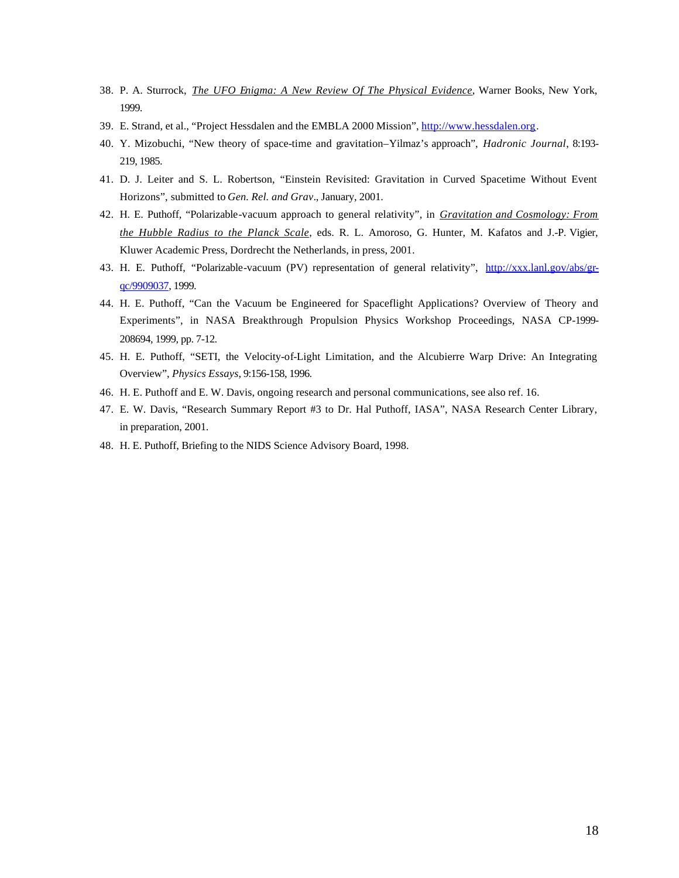- 38. P. A. Sturrock, *The UFO Enigma: A New Review Of The Physical Evidence*, Warner Books, New York, 1999.
- 39. E. Strand, et al., "Project Hessdalen and the EMBLA 2000 Mission", http://www.hessdalen.org.
- 40. Y. Mizobuchi, "New theory of space-time and gravitation–Yilmaz's approach", *Hadronic Journal*, 8:193- 219, 1985.
- 41. D. J. Leiter and S. L. Robertson, "Einstein Revisited: Gravitation in Curved Spacetime Without Event Horizons", submitted to *Gen. Rel. and Grav*., January, 2001.
- 42. H. E. Puthoff, "Polarizable-vacuum approach to general relativity", in *Gravitation and Cosmology: From the Hubble Radius to the Planck Scale*, eds. R. L. Amoroso, G. Hunter, M. Kafatos and J.-P. Vigier, Kluwer Academic Press, Dordrecht the Netherlands, in press, 2001.
- 43. H. E. Puthoff, "Polarizable-vacuum (PV) representation of general relativity", http://xxx.lanl.gov/abs/grqc/9909037, 1999.
- 44. H. E. Puthoff, "Can the Vacuum be Engineered for Spaceflight Applications? Overview of Theory and Experiments", in NASA Breakthrough Propulsion Physics Workshop Proceedings, NASA CP-1999- 208694, 1999, pp. 7-12.
- 45. H. E. Puthoff, "SETI, the Velocity-of-Light Limitation, and the Alcubierre Warp Drive: An Integrating Overview", *Physics Essays*, 9:156-158, 1996.
- 46. H. E. Puthoff and E. W. Davis, ongoing research and personal communications, see also ref. 16.
- 47. E. W. Davis, "Research Summary Report #3 to Dr. Hal Puthoff, IASA", NASA Research Center Library, in preparation, 2001.
- 48. H. E. Puthoff, Briefing to the NIDS Science Advisory Board, 1998.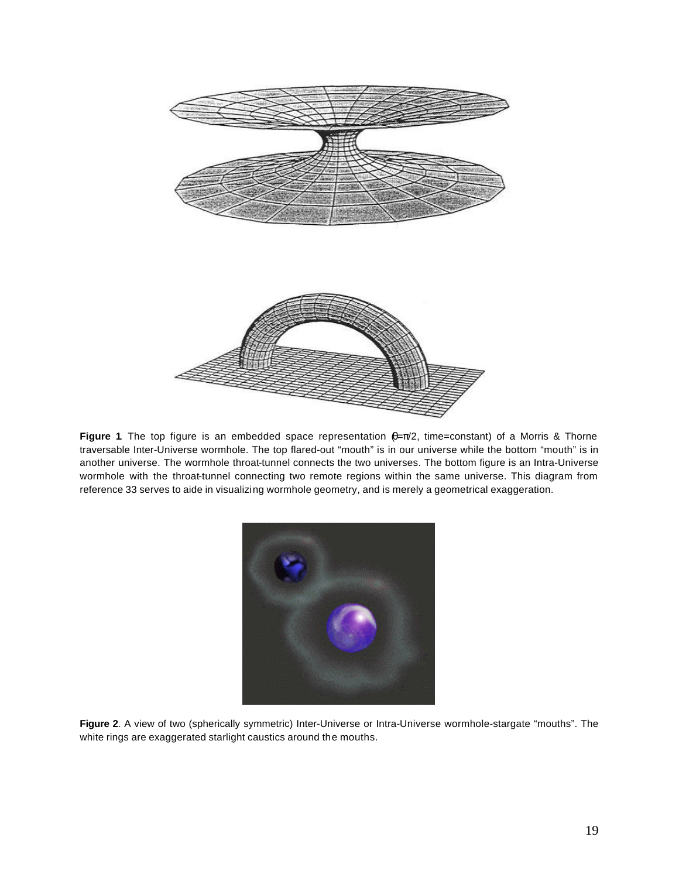

**Figure 1**. The top figure is an embedded space representation  $\theta = \pi/2$ , time=constant) of a Morris & Thorne traversable Inter-Universe wormhole. The top flared-out "mouth" is in our universe while the bottom "mouth" is in another universe. The wormhole throat-tunnel connects the two universes. The bottom figure is an Intra-Universe wormhole with the throat-tunnel connecting two remote regions within the same universe. This diagram from reference 33 serves to aide in visualizing wormhole geometry, and is merely a geometrical exaggeration.



**Figure 2**. A view of two (spherically symmetric) Inter-Universe or Intra-Universe wormhole-stargate "mouths". The white rings are exaggerated starlight caustics around the mouths.